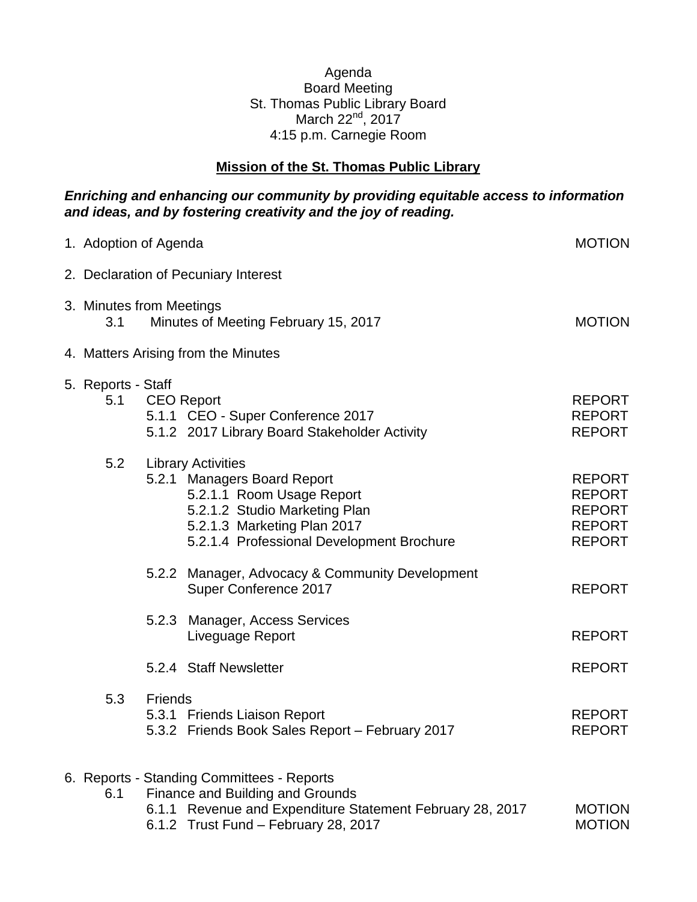## Agenda Board Meeting St. Thomas Public Library Board March 22<sup>nd</sup>, 2017 4:15 p.m. Carnegie Room

## **Mission of the St. Thomas Public Library**

## *Enriching and enhancing our community by providing equitable access to information and ideas, and by fostering creativity and the joy of reading.*

| 1. Adoption of Agenda     |                                                                                                                                                                                                    | <b>MOTION</b>                                                                     |
|---------------------------|----------------------------------------------------------------------------------------------------------------------------------------------------------------------------------------------------|-----------------------------------------------------------------------------------|
|                           | 2. Declaration of Pecuniary Interest                                                                                                                                                               |                                                                                   |
| 3.1                       | 3. Minutes from Meetings<br>Minutes of Meeting February 15, 2017                                                                                                                                   | <b>MOTION</b>                                                                     |
|                           | 4. Matters Arising from the Minutes                                                                                                                                                                |                                                                                   |
| 5. Reports - Staff<br>5.1 | <b>CEO Report</b><br>5.1.1 CEO - Super Conference 2017<br>5.1.2 2017 Library Board Stakeholder Activity                                                                                            | <b>REPORT</b><br><b>REPORT</b><br><b>REPORT</b>                                   |
| 5.2                       | <b>Library Activities</b><br>5.2.1 Managers Board Report<br>5.2.1.1 Room Usage Report<br>5.2.1.2 Studio Marketing Plan<br>5.2.1.3 Marketing Plan 2017<br>5.2.1.4 Professional Development Brochure | <b>REPORT</b><br><b>REPORT</b><br><b>REPORT</b><br><b>REPORT</b><br><b>REPORT</b> |
|                           | 5.2.2 Manager, Advocacy & Community Development<br>Super Conference 2017                                                                                                                           | <b>REPORT</b>                                                                     |
|                           | <b>Manager, Access Services</b><br>5.2.3<br>Liveguage Report                                                                                                                                       | <b>REPORT</b>                                                                     |
|                           | 5.2.4 Staff Newsletter                                                                                                                                                                             | <b>REPORT</b>                                                                     |
| 5.3                       | Friends<br>5.3.1 Friends Liaison Report<br>5.3.2 Friends Book Sales Report - February 2017                                                                                                         | <b>REPORT</b><br><b>REPORT</b>                                                    |
| 6.1                       | 6. Reports - Standing Committees - Reports<br>Finance and Building and Grounds<br>6.1.1 Revenue and Expenditure Statement February 28, 2017<br>6.1.2 Trust Fund - February 28, 2017                | <b>MOTION</b><br><b>MOTION</b>                                                    |